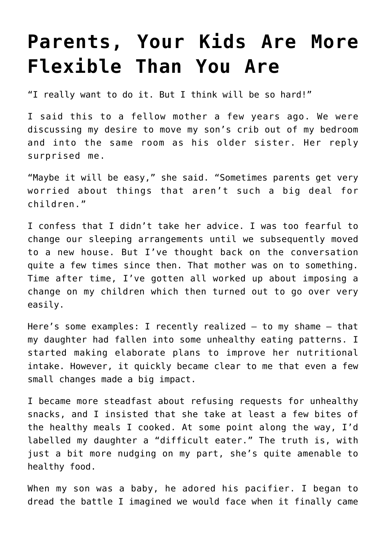## **[Parents, Your Kids Are More](https://intellectualtakeout.org/2019/11/parents-your-kids-are-more-flexible-than-you-are/) [Flexible Than You Are](https://intellectualtakeout.org/2019/11/parents-your-kids-are-more-flexible-than-you-are/)**

"I really want to do it. But I think will be so hard!"

I said this to a fellow mother a few years ago. We were discussing my desire to move my son's crib out of my bedroom and into the same room as his older sister. Her reply surprised me.

"Maybe it will be easy," she said. "Sometimes parents get very worried about things that aren't such a big deal for children."

I confess that I didn't take her advice. I was too fearful to change our sleeping arrangements until we subsequently moved to a new house. But I've thought back on the conversation quite a few times since then. That mother was on to something. Time after time, I've gotten all worked up about imposing a change on my children which then turned out to go over very easily.

Here's some examples: I recently realized – to my shame – that my daughter had fallen into some unhealthy eating patterns. I started making elaborate plans to improve her nutritional intake. However, it quickly became clear to me that even a few small changes made a big impact.

I became more steadfast about refusing requests for unhealthy snacks, and I insisted that she take at least a few bites of the healthy meals I cooked. At some point along the way, I'd labelled my daughter a "difficult eater." The truth is, with just a bit more nudging on my part, she's quite amenable to healthy food.

When my son was a baby, he adored his pacifier. I began to dread the battle I imagined we would face when it finally came